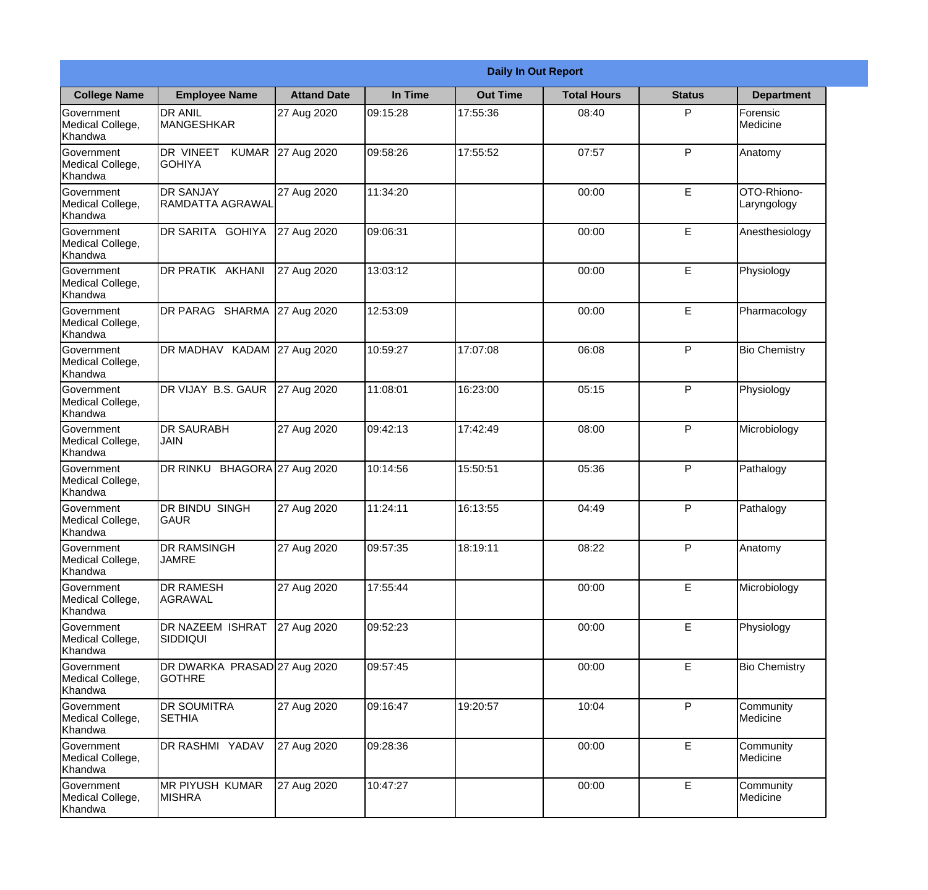|                                                  |                                               |                     |          | <b>Daily In Out Report</b> |                    |               |                            |
|--------------------------------------------------|-----------------------------------------------|---------------------|----------|----------------------------|--------------------|---------------|----------------------------|
| <b>College Name</b>                              | <b>Employee Name</b>                          | <b>Attand Date</b>  | In Time  | <b>Out Time</b>            | <b>Total Hours</b> | <b>Status</b> | <b>Department</b>          |
| Government<br>Medical College,<br>Khandwa        | <b>DR ANIL</b><br><b>MANGESHKAR</b>           | 27 Aug 2020         | 09:15:28 | 17:55:36                   | 08:40              | P             | Forensic<br>Medicine       |
| Government<br>Medical College,<br>Khandwa        | DR VINEET<br><b>KUMAR</b><br><b>GOHIYA</b>    | 27 Aug 2020         | 09:58:26 | 17:55:52                   | 07:57              | P             | Anatomy                    |
| <b>Government</b><br>Medical College,<br>Khandwa | <b>DR SANJAY</b><br>RAMDATTA AGRAWAL          | 27 Aug 2020         | 11:34:20 |                            | 00:00              | E             | OTO-Rhiono-<br>Laryngology |
| Government<br>Medical College,<br>Khandwa        | DR SARITA GOHIYA                              | 27 Aug 2020         | 09:06:31 |                            | 00:00              | E             | Anesthesiology             |
| Government<br>Medical College,<br>Khandwa        | DR PRATIK AKHANI                              | 27 Aug 2020         | 13:03:12 |                            | 00:00              | E             | Physiology                 |
| Government<br>Medical College,<br>Khandwa        | DR PARAG SHARMA                               | 27 Aug 2020         | 12:53:09 |                            | 00:00              | E             | Pharmacology               |
| <b>Government</b><br>Medical College,<br>Khandwa | DR MADHAV KADAM 27 Aug 2020                   |                     | 10:59:27 | 17:07:08                   | 06:08              | P             | <b>Bio Chemistry</b>       |
| Government<br>Medical College,<br>Khandwa        | DR VIJAY B.S. GAUR                            | 27 Aug 2020         | 11:08:01 | 16:23:00                   | 05:15              | P             | Physiology                 |
| <b>Government</b><br>Medical College,<br>Khandwa | <b>DR SAURABH</b><br><b>JAIN</b>              | 27 Aug 2020         | 09:42:13 | 17:42:49                   | 08:00              | P             | Microbiology               |
| Government<br>Medical College,<br>Khandwa        | DR RINKU                                      | BHAGORA 27 Aug 2020 | 10:14:56 | 15:50:51                   | 05:36              | P             | Pathalogy                  |
| Government<br>Medical College,<br>Khandwa        | <b>IDR BINDU SINGH</b><br> GAUR               | 27 Aug 2020         | 11:24:11 | 16:13:55                   | 04:49              | $\mathsf{P}$  | Pathalogy                  |
| Government<br>Medical College,<br>Khandwa        | <b>DR RAMSINGH</b><br><b>JAMRE</b>            | 27 Aug 2020         | 09:57:35 | 18:19:11                   | 08:22              | P             | Anatomy                    |
| Government<br>Medical College,<br>Khandwa        | <b>DR RAMESH</b><br>AGRAWAL                   | 27 Aug 2020         | 17:55:44 |                            | 00:00              | E             | Microbiology               |
| Government<br>Medical College,<br>Khandwa        | <b>DR NAZEEM ISHRAT</b><br>SIDDIQUI           | 27 Aug 2020         | 09:52:23 |                            | 00:00              | E             | Physiology                 |
| Government<br>Medical College,<br>Khandwa        | DR DWARKA PRASAD 27 Aug 2020<br><b>GOTHRE</b> |                     | 09:57:45 |                            | 00:00              | E             | <b>Bio Chemistry</b>       |
| Government<br>Medical College,<br>Khandwa        | <b>DR SOUMITRA</b><br><b>SETHIA</b>           | 27 Aug 2020         | 09:16:47 | 19:20:57                   | 10:04              | P             | Community<br>Medicine      |
| Government<br>Medical College,<br>Khandwa        | DR RASHMI YADAV                               | 27 Aug 2020         | 09:28:36 |                            | 00:00              | E             | Community<br>Medicine      |
| Government<br>Medical College,<br>Khandwa        | <b>MR PIYUSH KUMAR</b><br><b>MISHRA</b>       | 27 Aug 2020         | 10:47:27 |                            | 00:00              | E             | Community<br>Medicine      |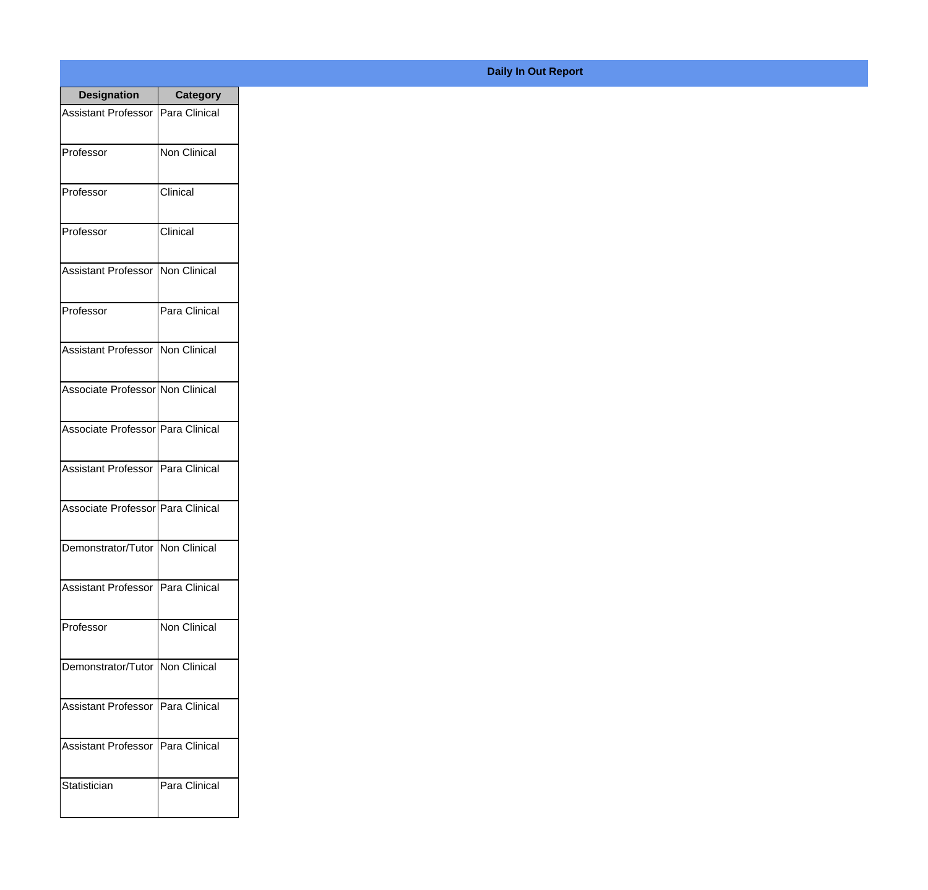| <b>Designation</b>                  | <b>Category</b>     |
|-------------------------------------|---------------------|
| Assistant Professor   Para Clinical |                     |
| Professor                           | <b>Non Clinical</b> |
| Professor                           | Clinical            |
| Professor                           | Clinical            |
| <b>Assistant Professor</b>          | Non Clinical        |
| Professor                           | Para Clinical       |
| Assistant Professor   Non Clinical  |                     |
| Associate Professor Non Clinical    |                     |
| Associate Professor   Para Clinical |                     |
| <b>Assistant Professor</b>          | Para Clinical       |
| Associate Professor Para Clinical   |                     |
| Demonstrator/Tutor   Non Clinical   |                     |
| <b>Assistant Professor</b>          | Para Clinical       |
| Professor                           | <b>Non Clinical</b> |
| Demonstrator/Tutor   Non Clinical   |                     |
| <b>Assistant Professor</b>          | Para Clinical       |
| <b>Assistant Professor</b>          | Para Clinical       |
| Statistician                        | Para Clinical       |

## **Daily In Out Report**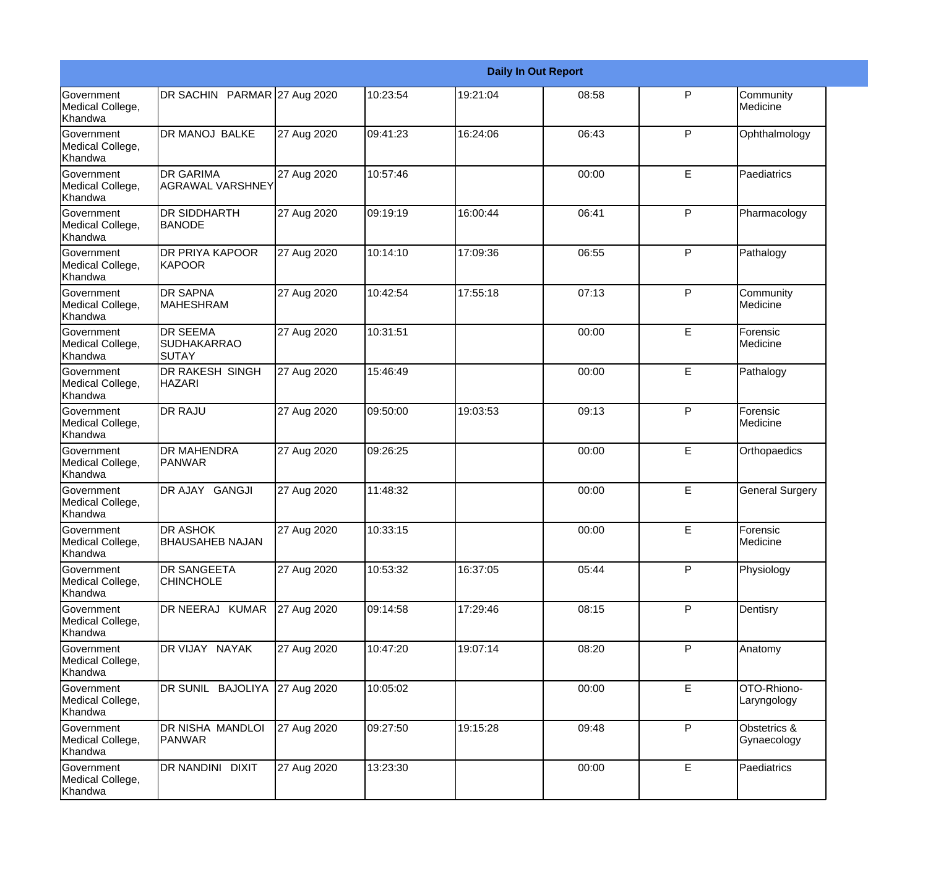|                                                  |                                                |             |          |          | <b>Daily In Out Report</b> |   |                             |
|--------------------------------------------------|------------------------------------------------|-------------|----------|----------|----------------------------|---|-----------------------------|
| <b>Government</b><br>Medical College,<br>Khandwa | DR SACHIN PARMAR 27 Aug 2020                   |             | 10:23:54 | 19:21:04 | 08:58                      | P | Community<br>Medicine       |
| <b>Government</b><br>Medical College,<br>Khandwa | DR MANOJ BALKE                                 | 27 Aug 2020 | 09:41:23 | 16:24:06 | 06:43                      | P | Ophthalmology               |
| <b>Government</b><br>Medical College,<br>Khandwa | <b>DR GARIMA</b><br>AGRAWAL VARSHNEY           | 27 Aug 2020 | 10:57:46 |          | 00:00                      | E | Paediatrics                 |
| <b>Government</b><br>Medical College,<br>Khandwa | <b>DR SIDDHARTH</b><br><b>BANODE</b>           | 27 Aug 2020 | 09:19:19 | 16:00:44 | 06:41                      | P | Pharmacology                |
| <b>Government</b><br>Medical College,<br>Khandwa | <b>DR PRIYA KAPOOR</b><br>KAPOOR               | 27 Aug 2020 | 10:14:10 | 17:09:36 | 06:55                      | P | Pathalogy                   |
| <b>Government</b><br>Medical College,<br>Khandwa | <b>DR SAPNA</b><br><b>MAHESHRAM</b>            | 27 Aug 2020 | 10:42:54 | 17:55:18 | 07:13                      | P | Community<br>Medicine       |
| Government<br>Medical College,<br>Khandwa        | <b>DR SEEMA</b><br>SUDHAKARRAO<br><b>SUTAY</b> | 27 Aug 2020 | 10:31:51 |          | 00:00                      | E | Forensic<br>Medicine        |
| Government<br>Medical College,<br>Khandwa        | DR RAKESH SINGH<br><b>HAZARI</b>               | 27 Aug 2020 | 15:46:49 |          | 00:00                      | E | Pathalogy                   |
| Government<br>Medical College,<br>Khandwa        | <b>DR RAJU</b>                                 | 27 Aug 2020 | 09:50:00 | 19:03:53 | 09:13                      | P | Forensic<br>Medicine        |
| <b>Government</b><br>Medical College,<br>Khandwa | <b>DR MAHENDRA</b><br><b>PANWAR</b>            | 27 Aug 2020 | 09:26:25 |          | 00:00                      | E | Orthopaedics                |
| Government<br>Medical College,<br>Khandwa        | DR AJAY GANGJI                                 | 27 Aug 2020 | 11:48:32 |          | 00:00                      | E | <b>General Surgery</b>      |
| Government<br>Medical College,<br>Khandwa        | <b>DR ASHOK</b><br><b>BHAUSAHEB NAJAN</b>      | 27 Aug 2020 | 10:33:15 |          | 00:00                      | E | <b>Forensic</b><br>Medicine |
| Government<br>Medical College,<br>Khandwa        | DR SANGEETA<br><b>CHINCHOLE</b>                | 27 Aug 2020 | 10:53:32 | 16:37:05 | 05:44                      | P | Physiology                  |
| Government<br>Medical College,<br>Khandwa        | DR NEERAJ KUMAR                                | 27 Aug 2020 | 09:14:58 | 17:29:46 | 08:15                      | P | Dentisry                    |
| Government<br>Medical College,<br>Khandwa        | DR VIJAY NAYAK                                 | 27 Aug 2020 | 10:47:20 | 19:07:14 | 08:20                      | P | Anatomy                     |
| Government<br>Medical College,<br>Khandwa        | DR SUNIL BAJOLIYA                              | 27 Aug 2020 | 10:05:02 |          | 00:00                      | E | OTO-Rhiono-<br>Laryngology  |
| Government<br>Medical College,<br>Khandwa        | DR NISHA MANDLOI<br>PANWAR                     | 27 Aug 2020 | 09:27:50 | 19:15:28 | 09:48                      | P | Obstetrics &<br>Gynaecology |
| Government<br>Medical College,<br>Khandwa        | DR NANDINI DIXIT                               | 27 Aug 2020 | 13:23:30 |          | 00:00                      | E | Paediatrics                 |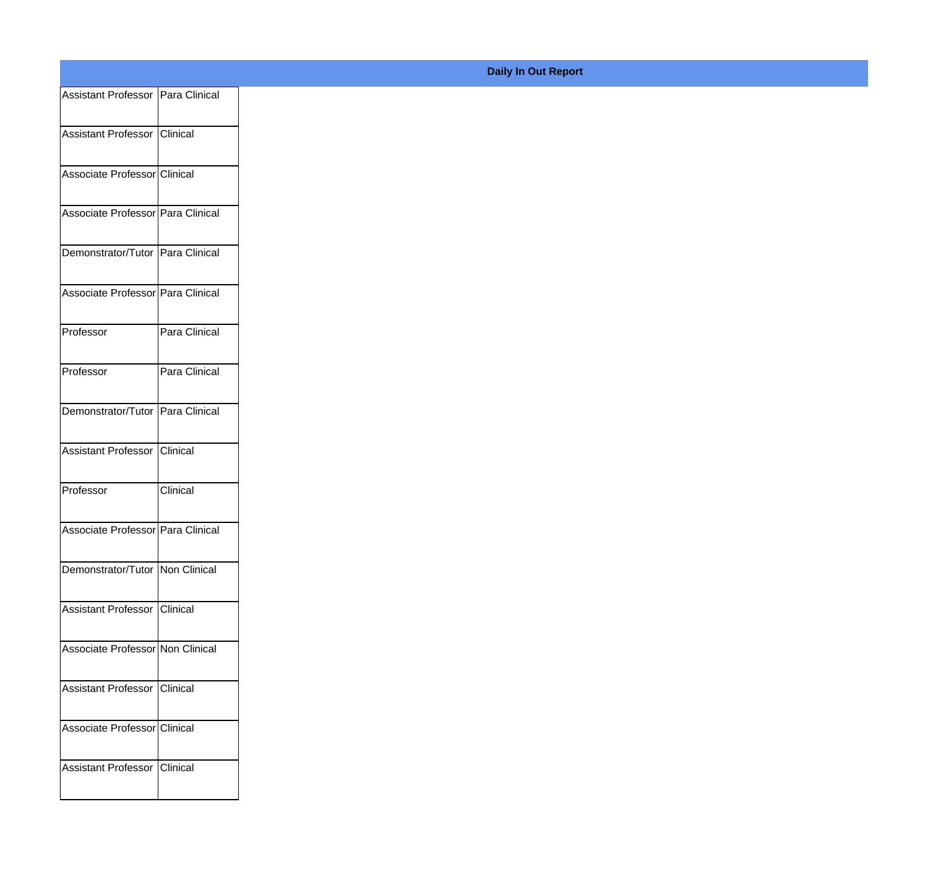| Assistant Professor Para Clinical |               |
|-----------------------------------|---------------|
| Assistant Professor Clinical      |               |
|                                   |               |
| Associate Professor Clinical      |               |
| Associate Professor Para Clinical |               |
|                                   |               |
| Demonstrator/Tutor Para Clinical  |               |
| Associate Professor Para Clinical |               |
|                                   |               |
| Professor                         | Para Clinical |
| Professor                         | Para Clinical |
|                                   |               |
| Demonstrator/Tutor Para Clinical  |               |
| Assistant Professor Clinical      |               |
| Professor                         | Clinical      |
|                                   |               |
| Associate Professor Para Clinical |               |
| Demonstrator/Tutor Non Clinical   |               |
|                                   |               |
| Assistant Professor Clinical      |               |
| Associate Professor Non Clinical  |               |
|                                   |               |
| Assistant Professor Clinical      |               |
| Associate Professor Clinical      |               |
|                                   |               |
| Assistant Professor Clinical      |               |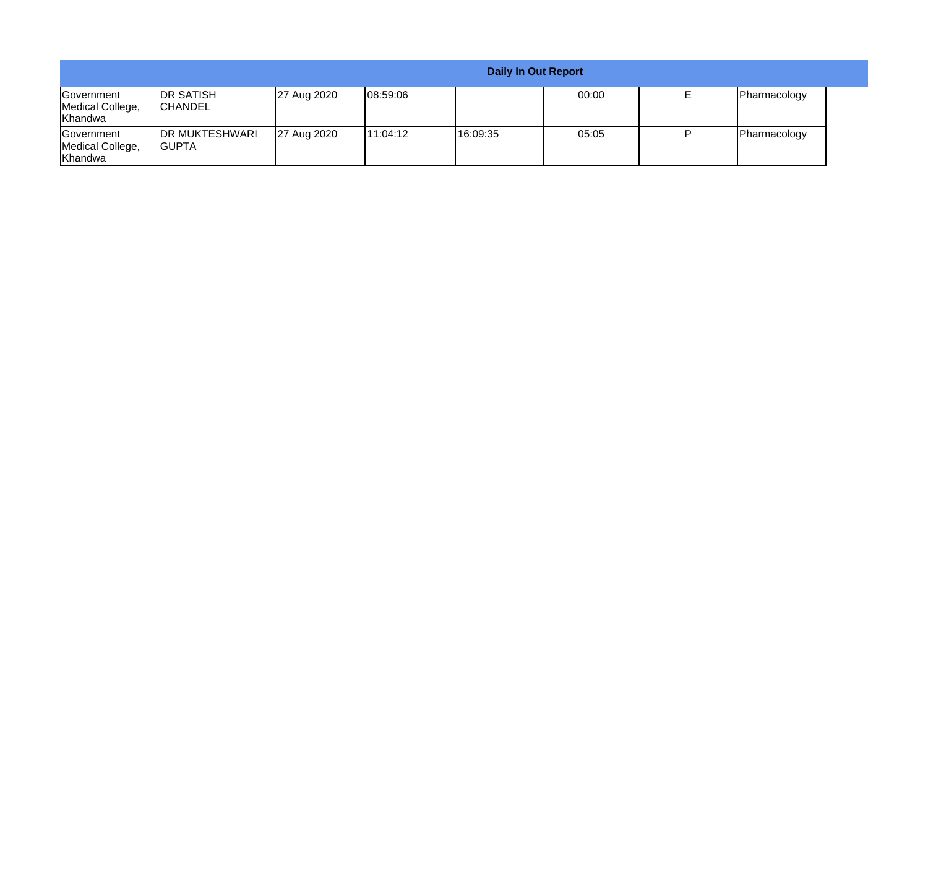|                                                          |                                     |             |           | Daily In Out Report |       |              |  |
|----------------------------------------------------------|-------------------------------------|-------------|-----------|---------------------|-------|--------------|--|
| <b>IGovernment</b><br>Medical College,<br><b>Khandwa</b> | <b>IDR SATISH</b><br><b>CHANDEL</b> | 27 Aug 2020 | 108:59:06 |                     | 00:00 | Pharmacology |  |
| <b>IGovernment</b><br>Medical College,<br>Khandwa        | <b>IDR MUKTESHWARI</b><br>IGUPTA    | 27 Aug 2020 | 11:04:12  | 16:09:35            | 05:05 | Pharmacology |  |